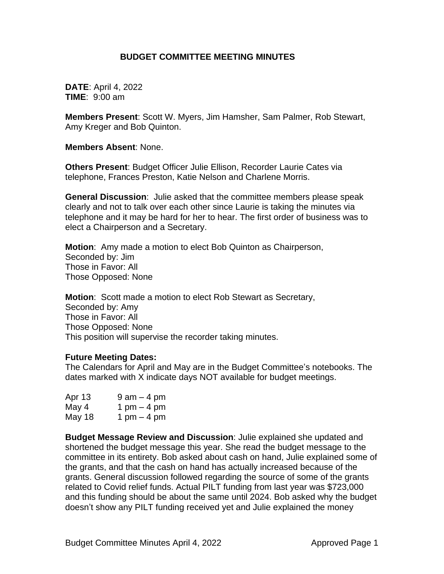# **BUDGET COMMITTEE MEETING MINUTES**

**DATE**: April 4, 2022 **TIME**: 9:00 am

**Members Present**: Scott W. Myers, Jim Hamsher, Sam Palmer, Rob Stewart, Amy Kreger and Bob Quinton.

**Members Absent**: None.

**Others Present**: Budget Officer Julie Ellison, Recorder Laurie Cates via telephone, Frances Preston, Katie Nelson and Charlene Morris.

**General Discussion**: Julie asked that the committee members please speak clearly and not to talk over each other since Laurie is taking the minutes via telephone and it may be hard for her to hear. The first order of business was to elect a Chairperson and a Secretary.

**Motion**: Amy made a motion to elect Bob Quinton as Chairperson, Seconded by: Jim Those in Favor: All Those Opposed: None

**Motion**: Scott made a motion to elect Rob Stewart as Secretary, Seconded by: Amy Those in Favor: All Those Opposed: None This position will supervise the recorder taking minutes.

#### **Future Meeting Dates:**

The Calendars for April and May are in the Budget Committee's notebooks. The dates marked with X indicate days NOT available for budget meetings.

| Apr 13 | $9$ am $-$ 4 pm |
|--------|-----------------|
| May 4  | 1 pm $-$ 4 pm   |
| May 18 | 1 pm $-$ 4 pm   |

**Budget Message Review and Discussion**: Julie explained she updated and shortened the budget message this year. She read the budget message to the committee in its entirety. Bob asked about cash on hand, Julie explained some of the grants, and that the cash on hand has actually increased because of the grants. General discussion followed regarding the source of some of the grants related to Covid relief funds. Actual PILT funding from last year was \$723,000 and this funding should be about the same until 2024. Bob asked why the budget doesn't show any PILT funding received yet and Julie explained the money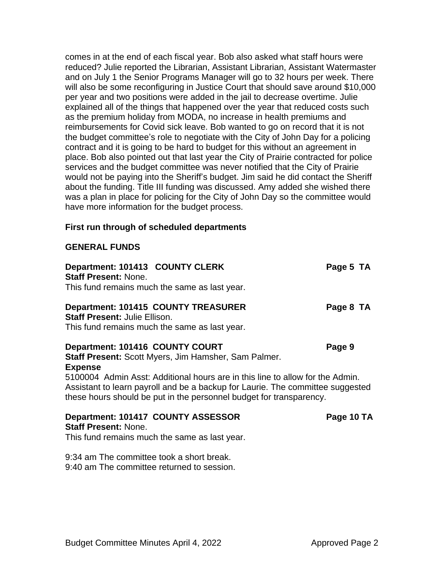comes in at the end of each fiscal year. Bob also asked what staff hours were reduced? Julie reported the Librarian, Assistant Librarian, Assistant Watermaster and on July 1 the Senior Programs Manager will go to 32 hours per week. There will also be some reconfiguring in Justice Court that should save around \$10,000 per year and two positions were added in the jail to decrease overtime. Julie explained all of the things that happened over the year that reduced costs such as the premium holiday from MODA, no increase in health premiums and reimbursements for Covid sick leave. Bob wanted to go on record that it is not the budget committee's role to negotiate with the City of John Day for a policing contract and it is going to be hard to budget for this without an agreement in place. Bob also pointed out that last year the City of Prairie contracted for police services and the budget committee was never notified that the City of Prairie would not be paying into the Sheriff's budget. Jim said he did contact the Sheriff about the funding. Title III funding was discussed. Amy added she wished there was a plan in place for policing for the City of John Day so the committee would have more information for the budget process.

### **First run through of scheduled departments**

#### **GENERAL FUNDS**

| Department: 101413 COUNTY CLERK<br><b>Staff Present: None.</b>                                                                                                                                                                         | Page 5 TA  |
|----------------------------------------------------------------------------------------------------------------------------------------------------------------------------------------------------------------------------------------|------------|
| This fund remains much the same as last year.                                                                                                                                                                                          |            |
| <b>Department: 101415 COUNTY TREASURER</b><br><b>Staff Present: Julie Ellison.</b>                                                                                                                                                     | Page 8 TA  |
| This fund remains much the same as last year.                                                                                                                                                                                          |            |
| Department: 101416 COUNTY COURT                                                                                                                                                                                                        | Page 9     |
| Staff Present: Scott Myers, Jim Hamsher, Sam Palmer.<br><b>Expense</b>                                                                                                                                                                 |            |
| 5100004 Admin Asst: Additional hours are in this line to allow for the Admin.<br>Assistant to learn payroll and be a backup for Laurie. The committee suggested<br>these hours should be put in the personnel budget for transparency. |            |
| Department: 101417 COUNTY ASSESSOR<br><b>Staff Present: None</b>                                                                                                                                                                       | Page 10 TA |

This fund remains much the same as last year.

9:34 am The committee took a short break. 9:40 am The committee returned to session.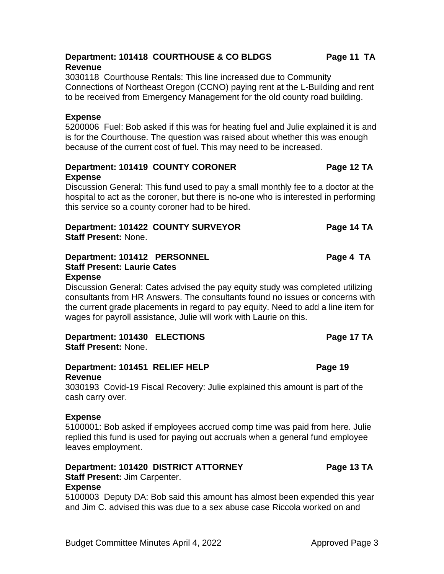## **Department: 101418 COURTHOUSE & CO BLDGS Page 11 TA Revenue**

3030118 Courthouse Rentals: This line increased due to Community Connections of Northeast Oregon (CCNO) paying rent at the L-Building and rent to be received from Emergency Management for the old county road building.

# **Expense**

5200006 Fuel: Bob asked if this was for heating fuel and Julie explained it is and is for the Courthouse. The question was raised about whether this was enough because of the current cost of fuel. This may need to be increased.

# **Department: 101419 COUNTY CORONER** Page 12 TA **Expense**

Discussion General: This fund used to pay a small monthly fee to a doctor at the hospital to act as the coroner, but there is no-one who is interested in performing this service so a county coroner had to be hired.

# **Department: 101422 COUNTY SURVEYOR Page 14 TA Staff Present:** None.

### **Department: 101412 PERSONNEL Page 4 TA Staff Present: Laurie Cates Expense**

Discussion General: Cates advised the pay equity study was completed utilizing consultants from HR Answers. The consultants found no issues or concerns with the current grade placements in regard to pay equity. Need to add a line item for wages for payroll assistance, Julie will work with Laurie on this.

# **Department: 101430 ELECTIONS Page 17 TA Staff Present:** None.

# **Department: 101451 RELIEF HELP Page 19 Revenue**

3030193 Covid-19 Fiscal Recovery: Julie explained this amount is part of the cash carry over.

# **Expense**

5100001: Bob asked if employees accrued comp time was paid from here. Julie replied this fund is used for paying out accruals when a general fund employee leaves employment.

# **Department: 101420 DISTRICT ATTORNEY Page 13 TA**

**Staff Present:** Jim Carpenter.

# **Expense**

5100003 Deputy DA: Bob said this amount has almost been expended this year and Jim C. advised this was due to a sex abuse case Riccola worked on and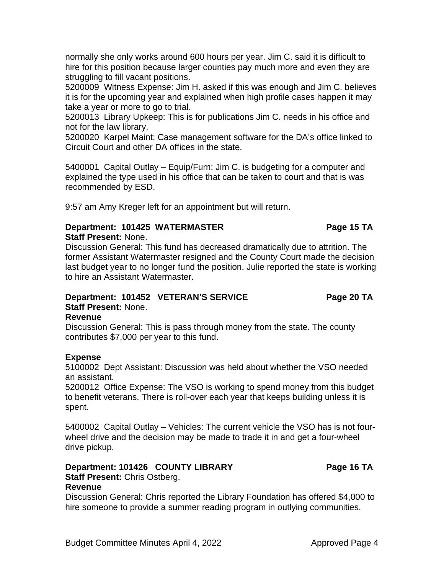hire someone to provide a summer reading program in outlying communities.

normally she only works around 600 hours per year. Jim C. said it is difficult to hire for this position because larger counties pay much more and even they are struggling to fill vacant positions.

5200009 Witness Expense: Jim H. asked if this was enough and Jim C. believes it is for the upcoming year and explained when high profile cases happen it may take a year or more to go to trial.

5200013 Library Upkeep: This is for publications Jim C. needs in his office and not for the law library.

5200020 Karpel Maint: Case management software for the DA's office linked to Circuit Court and other DA offices in the state.

5400001 Capital Outlay – Equip/Furn: Jim C. is budgeting for a computer and explained the type used in his office that can be taken to court and that is was recommended by ESD.

9:57 am Amy Kreger left for an appointment but will return.

#### **Department: 101425 WATERMASTER Page 15 TA Staff Present:** None.

Discussion General: This fund has decreased dramatically due to attrition. The former Assistant Watermaster resigned and the County Court made the decision last budget year to no longer fund the position. Julie reported the state is working to hire an Assistant Watermaster.

# **Department: 101452 VETERAN'S SERVICE Page 20 TA Staff Present:** None.

# **Revenue**

Discussion General: This is pass through money from the state. The county contributes \$7,000 per year to this fund.

# **Expense**

**Revenue**

5100002 Dept Assistant: Discussion was held about whether the VSO needed an assistant.

5200012 Office Expense: The VSO is working to spend money from this budget to benefit veterans. There is roll-over each year that keeps building unless it is spent.

5400002 Capital Outlay – Vehicles: The current vehicle the VSO has is not fourwheel drive and the decision may be made to trade it in and get a four-wheel drive pickup.

Discussion General: Chris reported the Library Foundation has offered \$4,000 to

#### **Department: 101426 COUNTY LIBRARY Page 16 TA Staff Present:** Chris Ostberg.

Budget Committee Minutes April 4, 2022 Approved Page 4

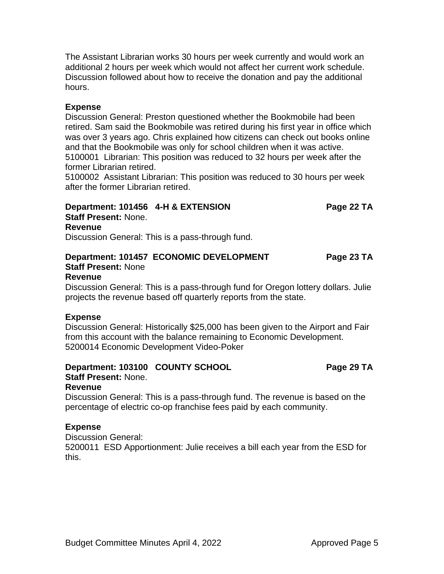The Assistant Librarian works 30 hours per week currently and would work an additional 2 hours per week which would not affect her current work schedule. Discussion followed about how to receive the donation and pay the additional hours.

# **Expense**

Discussion General: Preston questioned whether the Bookmobile had been retired. Sam said the Bookmobile was retired during his first year in office which was over 3 years ago. Chris explained how citizens can check out books online and that the Bookmobile was only for school children when it was active. 5100001 Librarian: This position was reduced to 32 hours per week after the former Librarian retired.

5100002 Assistant Librarian: This position was reduced to 30 hours per week after the former Librarian retired.

# **Department: 101456 4-H & EXTENSION Page 22 TA**

**Staff Present:** None.

# **Revenue**

Discussion General: This is a pass-through fund.

# **Department: 101457 ECONOMIC DEVELOPMENT Page 23 TA Staff Present:** None

### **Revenue**

Discussion General: This is a pass-through fund for Oregon lottery dollars. Julie projects the revenue based off quarterly reports from the state.

# **Expense**

Discussion General: Historically \$25,000 has been given to the Airport and Fair from this account with the balance remaining to Economic Development. 5200014 Economic Development Video-Poker

# **Department: 103100 COUNTY SCHOOL Page 29 TA**

# **Staff Present:** None.

# **Revenue**

Discussion General: This is a pass-through fund. The revenue is based on the percentage of electric co-op franchise fees paid by each community.

# **Expense**

Discussion General:

5200011 ESD Apportionment: Julie receives a bill each year from the ESD for this.

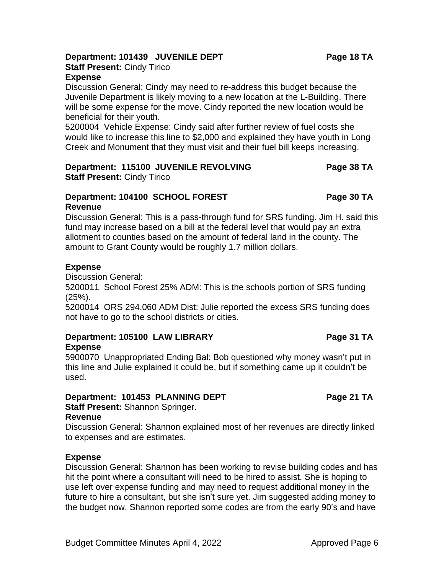#### Budget Committee Minutes April 4, 2022 Approved Page 6

# **Department: 101439 JUVENILE DEPT Page 18 TA**

**Staff Present:** Cindy Tirico

# **Expense**

Discussion General: Cindy may need to re-address this budget because the Juvenile Department is likely moving to a new location at the L-Building. There will be some expense for the move. Cindy reported the new location would be beneficial for their youth.

5200004 Vehicle Expense: Cindy said after further review of fuel costs she would like to increase this line to \$2,000 and explained they have youth in Long Creek and Monument that they must visit and their fuel bill keeps increasing.

#### **Department: 115100 JUVENILE REVOLVING Page 38 TA Staff Present:** Cindy Tirico

#### **Department: 104100 SCHOOL FOREST Page 30 TA Revenue**

Discussion General: This is a pass-through fund for SRS funding. Jim H. said this fund may increase based on a bill at the federal level that would pay an extra allotment to counties based on the amount of federal land in the county. The amount to Grant County would be roughly 1.7 million dollars.

### **Expense**

Discussion General:

5200011 School Forest 25% ADM: This is the schools portion of SRS funding (25%).

5200014 ORS 294.060 ADM Dist: Julie reported the excess SRS funding does not have to go to the school districts or cities.

#### **Department: 105100 LAW LIBRARY Page 31 TA Expense**

5900070 Unappropriated Ending Bal: Bob questioned why money wasn't put in this line and Julie explained it could be, but if something came up it couldn't be used.

# **Department: 101453 PLANNING DEPT Page 21 TA**

**Staff Present:** Shannon Springer.

#### **Revenue**

Discussion General: Shannon explained most of her revenues are directly linked to expenses and are estimates.

# **Expense**

Discussion General: Shannon has been working to revise building codes and has hit the point where a consultant will need to be hired to assist. She is hoping to use left over expense funding and may need to request additional money in the future to hire a consultant, but she isn't sure yet. Jim suggested adding money to the budget now. Shannon reported some codes are from the early 90's and have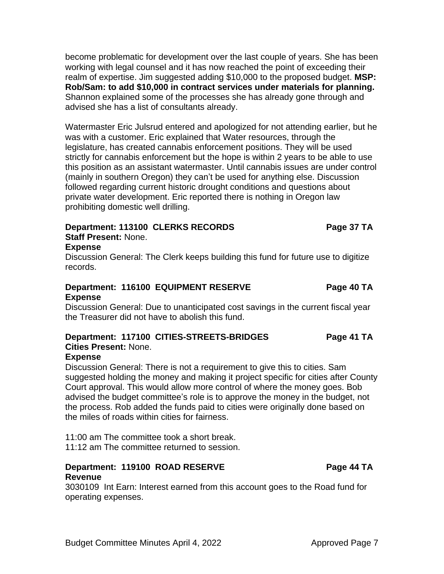become problematic for development over the last couple of years. She has been working with legal counsel and it has now reached the point of exceeding their realm of expertise. Jim suggested adding \$10,000 to the proposed budget. **MSP: Rob/Sam: to add \$10,000 in contract services under materials for planning.** Shannon explained some of the processes she has already gone through and advised she has a list of consultants already.

Watermaster Eric Julsrud entered and apologized for not attending earlier, but he was with a customer. Eric explained that Water resources, through the legislature, has created cannabis enforcement positions. They will be used strictly for cannabis enforcement but the hope is within 2 years to be able to use this position as an assistant watermaster. Until cannabis issues are under control (mainly in southern Oregon) they can't be used for anything else. Discussion followed regarding current historic drought conditions and questions about private water development. Eric reported there is nothing in Oregon law prohibiting domestic well drilling.

### **Department: 113100 CLERKS RECORDS** Page 37 TA **Staff Present:** None.

# **Expense**

Discussion General: The Clerk keeps building this fund for future use to digitize records.

# **Department: 116100 EQUIPMENT RESERVE Page 40 TA Expense**

Discussion General: Due to unanticipated cost savings in the current fiscal year the Treasurer did not have to abolish this fund.

#### **Department: 117100 CITIES-STREETS-BRIDGES Page 41 TA Cities Present:** None.

# **Expense**

Discussion General: There is not a requirement to give this to cities. Sam suggested holding the money and making it project specific for cities after County Court approval. This would allow more control of where the money goes. Bob advised the budget committee's role is to approve the money in the budget, not the process. Rob added the funds paid to cities were originally done based on the miles of roads within cities for fairness.

11:00 am The committee took a short break. 11:12 am The committee returned to session.

# **Department: 119100 ROAD RESERVE THE RESERVE RAGE 44 TA Revenue**

3030109 Int Earn: Interest earned from this account goes to the Road fund for operating expenses.

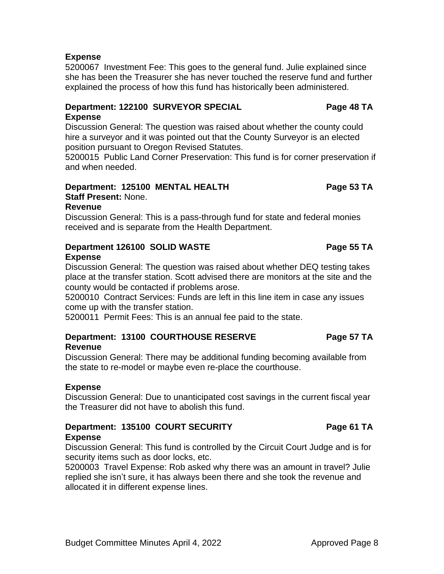# **Expense**

5200067 Investment Fee: This goes to the general fund. Julie explained since she has been the Treasurer she has never touched the reserve fund and further explained the process of how this fund has historically been administered.

### **Department: 122100 SURVEYOR SPECIAL Page 48 TA Expense**

Discussion General: The question was raised about whether the county could hire a surveyor and it was pointed out that the County Surveyor is an elected position pursuant to Oregon Revised Statutes.

5200015 Public Land Corner Preservation: This fund is for corner preservation if and when needed.

# **Department: 125100 MENTAL HEALTH Page 53 TA**

**Staff Present:** None.

# **Revenue**

Discussion General: This is a pass-through fund for state and federal monies received and is separate from the Health Department.

## **Department 126100 SOLID WASTE Page 55 TA Expense**

Discussion General: The question was raised about whether DEQ testing takes place at the transfer station. Scott advised there are monitors at the site and the county would be contacted if problems arose.

5200010 Contract Services: Funds are left in this line item in case any issues come up with the transfer station.

5200011 Permit Fees: This is an annual fee paid to the state.

# **Department: 13100 COURTHOUSE RESERVE Page 57 TA Revenue**

Discussion General: There may be additional funding becoming available from the state to re-model or maybe even re-place the courthouse.

# **Expense**

Discussion General: Due to unanticipated cost savings in the current fiscal year the Treasurer did not have to abolish this fund.

#### **Department: 135100 COURT SECURITY FRAGE 61 TA Expense**

Discussion General: This fund is controlled by the Circuit Court Judge and is for security items such as door locks, etc.

5200003 Travel Expense: Rob asked why there was an amount in travel? Julie replied she isn't sure, it has always been there and she took the revenue and allocated it in different expense lines.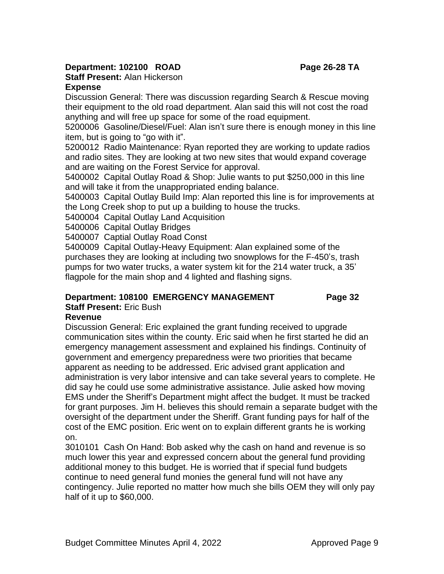# **Department: 102100 ROAD Page 26-28 TA**

**Staff Present:** Alan Hickerson

## **Expense**

Discussion General: There was discussion regarding Search & Rescue moving their equipment to the old road department. Alan said this will not cost the road anything and will free up space for some of the road equipment.

5200006 Gasoline/Diesel/Fuel: Alan isn't sure there is enough money in this line item, but is going to "go with it".

5200012 Radio Maintenance: Ryan reported they are working to update radios and radio sites. They are looking at two new sites that would expand coverage and are waiting on the Forest Service for approval.

5400002 Capital Outlay Road & Shop: Julie wants to put \$250,000 in this line and will take it from the unappropriated ending balance.

5400003 Capital Outlay Build Imp: Alan reported this line is for improvements at the Long Creek shop to put up a building to house the trucks.

5400004 Capital Outlay Land Acquisition

5400006 Capital Outlay Bridges

5400007 Captial Outlay Road Const

5400009 Capital Outlay-Heavy Equipment: Alan explained some of the purchases they are looking at including two snowplows for the F-450's, trash pumps for two water trucks, a water system kit for the 214 water truck, a 35' flagpole for the main shop and 4 lighted and flashing signs.

# **Department: 108100 EMERGENCY MANAGEMENT Page 32**

**Staff Present:** Eric Bush

# **Revenue**

Discussion General: Eric explained the grant funding received to upgrade communication sites within the county. Eric said when he first started he did an emergency management assessment and explained his findings. Continuity of government and emergency preparedness were two priorities that became apparent as needing to be addressed. Eric advised grant application and administration is very labor intensive and can take several years to complete. He did say he could use some administrative assistance. Julie asked how moving EMS under the Sheriff's Department might affect the budget. It must be tracked for grant purposes. Jim H. believes this should remain a separate budget with the oversight of the department under the Sheriff. Grant funding pays for half of the cost of the EMC position. Eric went on to explain different grants he is working on.

3010101 Cash On Hand: Bob asked why the cash on hand and revenue is so much lower this year and expressed concern about the general fund providing additional money to this budget. He is worried that if special fund budgets continue to need general fund monies the general fund will not have any contingency. Julie reported no matter how much she bills OEM they will only pay half of it up to \$60,000.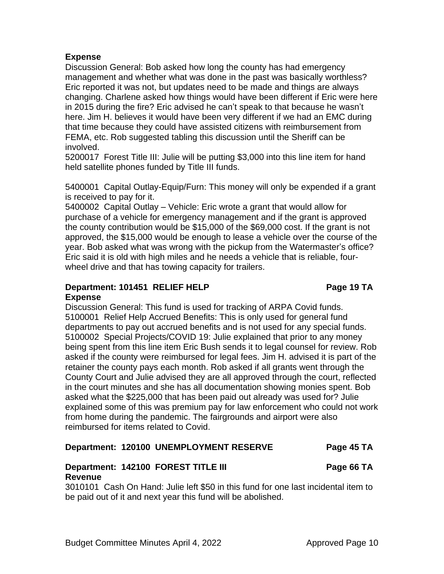# **Expense**

Discussion General: Bob asked how long the county has had emergency management and whether what was done in the past was basically worthless? Eric reported it was not, but updates need to be made and things are always changing. Charlene asked how things would have been different if Eric were here in 2015 during the fire? Eric advised he can't speak to that because he wasn't here. Jim H. believes it would have been very different if we had an EMC during that time because they could have assisted citizens with reimbursement from FEMA, etc. Rob suggested tabling this discussion until the Sheriff can be involved.

5200017 Forest Title III: Julie will be putting \$3,000 into this line item for hand held satellite phones funded by Title III funds.

5400001 Capital Outlay-Equip/Furn: This money will only be expended if a grant is received to pay for it.

5400002 Capital Outlay – Vehicle: Eric wrote a grant that would allow for purchase of a vehicle for emergency management and if the grant is approved the county contribution would be \$15,000 of the \$69,000 cost. If the grant is not approved, the \$15,000 would be enough to lease a vehicle over the course of the year. Bob asked what was wrong with the pickup from the Watermaster's office? Eric said it is old with high miles and he needs a vehicle that is reliable, fourwheel drive and that has towing capacity for trailers.

#### **Department: 101451 RELIEF HELP Page 19 TA Expense**

Discussion General: This fund is used for tracking of ARPA Covid funds. 5100001 Relief Help Accrued Benefits: This is only used for general fund departments to pay out accrued benefits and is not used for any special funds. 5100002 Special Projects/COVID 19: Julie explained that prior to any money being spent from this line item Eric Bush sends it to legal counsel for review. Rob asked if the county were reimbursed for legal fees. Jim H. advised it is part of the retainer the county pays each month. Rob asked if all grants went through the County Court and Julie advised they are all approved through the court, reflected in the court minutes and she has all documentation showing monies spent. Bob asked what the \$225,000 that has been paid out already was used for? Julie explained some of this was premium pay for law enforcement who could not work from home during the pandemic. The fairgrounds and airport were also reimbursed for items related to Covid.

# **Department: 120100 UNEMPLOYMENT RESERVE Page 45 TA**

# **Department: 142100 FOREST TITLE III Page 66 TA Revenue**

3010101 Cash On Hand: Julie left \$50 in this fund for one last incidental item to be paid out of it and next year this fund will be abolished.